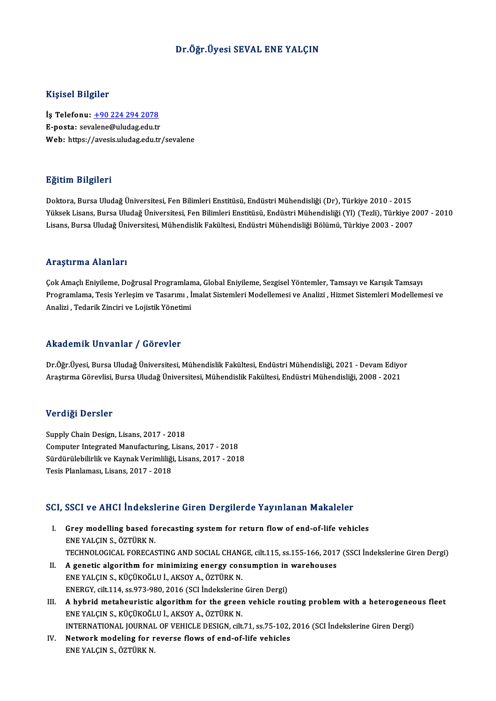#### Dr.Öğr.Üyesi SEVAL ENE YALÇIN

#### Kişisel Bilgiler

Kişisel Bilgiler<br>İş Telefonu: <u>+90 224 294 2078</u><br>E nosta: savalane@uludas.edu.tr 11191001 D1191101<br>İş Telefonu: <u>+90 224 294 2078</u><br>E-posta: sev[alene@uludag.edu.tr](tel:+90 224 294 2078) E-posta: sevalene@uludag.edu.tr<br>Web: https://avesis.uludag.edu.tr/sevalene

#### Eğitim Bilgileri

Doktora, Bursa Uludağ Üniversitesi, Fen Bilimleri Enstitüsü, Endüstri Mühendisliği (Dr), Türkiye 2010 - 2015 25.<br>1998-Yüksek Lisans, Bursa Uludağ Üniversitesi, Fen Bilimleri Enstitüsü, Endüstri Mühendisliği (Dr), Türkiye 2010 - 2015<br>Yüksek Lisans, Bursa Uludağ Üniversitesi, Fen Bilimleri Enstitüsü, Endüstri Mühendisliği (Yl) (Tez Doktora, Bursa Uludağ Üniversitesi, Fen Bilimleri Enstitüsü, Endüstri Mühendisliği (Dr), Türkiye 2010 - 2015<br>Yüksek Lisans, Bursa Uludağ Üniversitesi, Fen Bilimleri Enstitüsü, Endüstri Mühendisliği (Yl) (Tezli), Türkiye 2<br> Lisans, Bursa Uludağ Üniversitesi, Mühendislik Fakültesi, Endüstri Mühendisliği Bölümü, Türkiye 2003 - 2007<br>Araştırma Alanları

Çok Amaçlı Eniyileme, Doğrusal Programlama, Global Eniyileme, Sezgisel Yöntemler, Tamsayı ve Karışık Tamsayı rri dyen ind fridiriar i<br>Çok Amaçlı Eniyileme, Doğrusal Programlama, Global Eniyileme, Sezgisel Yöntemler, Tamsayı ve Karışık Tamsayı<br>Analizi "Todarik Zingiri ve Lojistik Vönetimi Çok Amaçlı Eniyileme, Doğrusal Programlar<br>Programlama, Tesis Yerleşim ve Tasarımı , İ<br>Analizi , Tedarik Zinciri ve Lojistik Yönetimi Analizi , Tedarik Zinciri ve Lojistik Yönetimi<br>Akademik Unvanlar / Görevler

Dr.Öğr.Üyesi, Bursa Uludağ Üniversitesi, Mühendislik Fakültesi, Endüstri Mühendisliği, 2021 - Devam Ediyor Araştırma Görevlisi, Bursa Uludağ Üniversitesi, Mühendislik Fakültesi, Endüstri Mühendisliği, 2008 - 2021

#### Verdiği Dersler

Supply Chain Design, Lisans, 2017 - 2018 Computer Integrated Manufacturing, Lisans, 2017 - 2018 Supply Chain Design, Lisans, 2017 - 2018<br>Computer Integrated Manufacturing, Lisans, 2017 - 2018<br>Sürdürülebilirlik ve Kaynak Verimliliği, Lisans, 2017 - 2018<br>Tesis Planlaması, Lisans, 2017, 2019 Computer Integrated Manufacturing, I<br>Sürdürülebilirlik ve Kaynak Verimliliği<br>Tesis Planlaması, Lisans, 2017 - 2018

# 1esis Pianiamasi, Lisans, 2017 - 2018<br>SCI, SSCI ve AHCI İndekslerine Giren Dergilerde Yayınlanan Makaleler

- CI, SSCI ve AHCI İndekslerine Giren Dergilerde Yayınlanan Makaleler<br>I. Grey modelling based forecasting system for return flow of end-of-life vehicles<br>ENE VALCIN S. ÖZTÜRK N I. Grey modelling based forecasting system for return flow of end-of-life vehicles<br>ENEYALÇINS., ÖZTÜRKN. Grey modelling based forecasting system for return flow of end-of-life vehicles<br>ENE YALÇIN S., ÖZTÜRK N.<br>TECHNOLOGICAL FORECASTING AND SOCIAL CHANGE, cilt.115, ss.155-166, 2017 (SSCI İndekslerine Giren Dergi)<br>A genetis alg ENE YALÇIN S., ÖZTÜRK N.<br>TECHNOLOGICAL FORECASTING AND SOCIAL CHANGE, cilt.115, ss.155-166, 2017<br>II. A genetic algorithm for minimizing energy consumption in warehouses<br>ENE YALCIN S. KÜCÜKOĞLU LAKSOV A ÖZTÜDK N
- TECHNOLOGICAL FORECASTING AND SOCIAL CHANO<br>A genetic algorithm for minimizing energy con<br>ENE YALÇIN S., KÜÇÜKOĞLU İ., AKSOY A., ÖZTÜRK N.<br>ENEPCY silt 114, 88.973.980, 2016 (SCI İndekslerine II. A genetic algorithm for minimizing energy consumption in warehouses<br>ENE YALÇIN S., KÜÇÜKOĞLU İ., AKSOY A., ÖZTÜRK N.<br>ENERGY, cilt.114, ss.973-980, 2016 (SCI İndekslerine Giren Dergi) ENE YALÇIN S., KÜÇÜKOĞLU İ., AKSOY A., ÖZTÜRK N.<br>II. A hybrid metaheuristic algorithm for the green vehicle routing problem with a heterogeneous fleet<br>ENE YALCIN S. KÜÇÜKOĞLU İ. AKSOY A. ÖZTÜDK N.
- ENERGY, cilt.114, ss.973-980, 2016 (SCI İndekslerine<br>A hybrid metaheuristic algorithm for the green<br>ENE YALÇIN S., KÜÇÜKOĞLU İ., AKSOY A., ÖZTÜRK N.<br>INTERNATIONAL JOURNAL OE VEHICLE RESICN. silt A hybrid metaheuristic algorithm for the green vehicle routing problem with a heterogeneo<br>ENE YALÇIN S., KÜÇÜKOĞLU İ., AKSOY A., ÖZTÜRK N.<br>INTERNATIONAL JOURNAL OF VEHICLE DESIGN, cilt.71, ss.75-102, 2016 (SCI İndekslerine ENE YALÇIN S., KÜÇÜKOĞLU İ., AKSOY A., ÖZTÜRK N.<br>INTERNATIONAL JOURNAL OF VEHICLE DESIGN, cilt.71, ss.75-102, 2016 (SCI İndekslerine Giren Dergi)<br>IV. Network modeling for reverse flows of end-of-life vehicles
- ENE YALÇIN S., ÖZTÜRK N.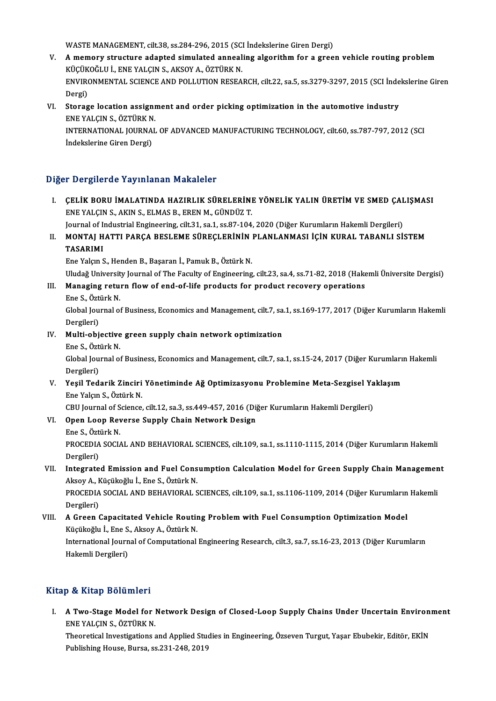WASTE MANAGEMENT, cilt.38, ss.284-296, 2015 (SCI İndekslerine Giren Dergi)<br>A mamany atnusture adapted simulated annealing algonithm for a gree

- V. A memory structure adapted simulated annealing algorithm for a green vehicle routing problem WASTE MANAGEMENT, cilt.38, ss.284-296, 2015 (SC)<br>A memory structure adapted simulated anneal<br>KÜÇÜKOĞLU İ., ENE YALÇIN S., AKSOY A., ÖZTÜRK N.<br>ENVIRONMENTAL SCIENCE AND POLLUTION RESEA ENVIRONMENTAL SCIENCE AND POLLUTION RESEARCH, cilt.22, sa.5, ss.3279-3297, 2015 (SCI İndekslerine Giren<br>Dergi) KÜÇÜKOĞLU İ., ENE YALÇIN S., AKSOY A., ÖZTÜRK N. ENVIRONMENTAL SCIENCE AND POLLUTION RESEARCH, cilt.22, sa.5, ss.3279-3297, 2015 (SCI inde<br>Dergi)<br>VI. Storage location assignment and order picking optimization in the automotive industry<br>FNE VALCIN S. ÖZTÜPK N
- Dergi)<br><mark>Storage location assigni</mark><br>ENE YALÇIN S., ÖZTÜRK N.<br>INTERNATIONAL JOURNAL Storage location assignment and order picking optimization in the automotive industry<br>ENE YALÇIN S., ÖZTÜRK N.<br>INTERNATIONAL JOURNAL OF ADVANCED MANUFACTURING TECHNOLOGY, cilt.60, ss.787-797, 2012 (SCI ENE YALÇIN S., ÖZTÜRK N.<br>INTERNATIONAL JOURNAL OF ADVANCED MANUFACTURING TECHNOLOGY, cilt.60, ss.787-797, 2012 (SCI<br>İndekslerine Giren Dergi)

### Diğer Dergilerde Yayınlanan Makaleler

- Iğer Dergilerde Yayınlanan Makaleler<br>I. CELİK BORU İMALATINDA HAZIRLIK SÜRELERİNE YÖNELİK YALIN ÜRETİM VE SMED ÇALIŞMASI<br>ENE YALÇIN S. AKIN S. ELMAS B. EREN M. CÜNDÜZ T. ENEYALÇIN S., AKIN S., ELMAS B., EREN M., GÜNDÜZ T.<br>ENE YALÇIN S., AKIN S., ELMAS B., EREN M., GÜNDÜZ T.<br>Journal of Industrial Engineering silt 31 se 1 se 87 104 ÇELİK BORU İMALATINDA HAZIRLIK SÜRELERİNE YÖNELİK YALIN ÜRETİM VE SMED ÇAI<br>ENE YALÇIN S., AKIN S., ELMAS B., EREN M., GÜNDÜZ T.<br>Journal of Industrial Engineering, cilt.31, sa.1, ss.87-104, 2020 (Diğer Kurumların Hakemli De ENE YALÇIN S., AKIN S., ELMAS B., EREN M., GÜNDÜZ T.<br>Journal of Industrial Engineering, cilt.31, sa.1, ss.87-104, 2020 (Diğer Kurumların Hakemli Dergileri)<br>II. MONTAJ HATTI PARÇA BESLEME SÜREÇLERİNİN PLANLANMASI İÇİN K
- Journal of Industrial Engineering, cilt.31, sa.1, ss.87-104, 2020 (Diğer Kurumların Hakemli Dergileri)<br>MONTAJ HATTI PARÇA BESLEME SÜREÇLERİNİN PLANLANMASI İÇİN KURAL TABANLI Sİ<br>TASARIMI<br>Ene Yalcın S., Henden B., Basaran İ. MONTAJ HATTI PARÇA BESLEME SÜREÇLERİNİN<br>TASARIMI<br>Ene Yalçın S., Henden B., Başaran İ., Pamuk B., Öztürk N.<br>Uludeğ University Journal of The Fasulty of Ensineering TASARIMI<br>Ene Yalçın S., Henden B., Başaran İ., Pamuk B., Öztürk N.<br>Uludağ University Journal of The Faculty of Engineering, cilt.23, sa.4, ss.71-82, 2018 (Hakemli Üniversite Dergisi)<br>Managing return flow of and of life pro

Uludağ Universit<br>**Managing retu**:<br>Ene S., Öztürk N.<br>Clabal Journal o

III. Managing return flow of end-of-life products for product recovery operations<br>Ene S. Öztürk N.

Managing return flow of end-of-life products for product recovery operations<br>Ene S., Öztürk N.<br>Global Journal of Business, Economics and Management, cilt.7, sa.1, ss.169-177, 2017 (Diğer Kurumların Hakemli<br>Persileri) Ene S., Özt<br>Global Jou<br>Dergileri)<br>Multi obi Global Journal of Business, Economics and Management, cilt.7, sa<br>Dergileri)<br>IV. Multi-objective green supply chain network optimization<br>Fre S. Öztürk N Dergileri)<br>**Multi-objective<br>Ene S., Öztürk N.**<br>Clabel Journal o

Multi-objective green supply chain network optimization<br>Ene S., Öztürk N.<br>Global Journal of Business, Economics and Management, cilt.7, sa.1, ss.15-24, 2017 (Diğer Kurumların Hakemli<br>Dergileri) Ene S., Özt<br>Global Jou<br>Dergileri)<br>Vesil Ted Global Journal of Business, Economics and Management, cilt.7, sa.1, ss.15-24, 2017 (Diğer Kurumları:<br>Dergileri)<br>V. Yeşil Tedarik Zinciri Yönetiminde Ağ Optimizasyonu Problemine Meta-Sezgisel Yaklaşım<br>Fre Yolsun S. Örtürk N

Dergileri)<br>Yeşil Tedarik Zinciri<br>Ene Yalçın S., Öztürk N. Yeşil Tedarik Zinciri Yönetiminde Ağ Optimizasyonu Problemine Meta-Sezgisel Ya<br>Ene Yalçın S., Öztürk N.<br>CBU Journal of Science, cilt.12, sa.3, ss.449-457, 2016 (Diğer Kurumların Hakemli Dergileri)<br>Onan Leon Boyorse Sunnly

CBU Journal of Science, cilt.12, sa.3, ss.449-457, 2016 (Diğer Kurumların Hakemli Dergileri)

## VI. Open Loop Reverse Supply Chain Network Design

Open Loop Reverse Supply Chain Network Design<br>Ene S., Öztürk N.<br>PROCEDIA SOCIAL AND BEHAVIORAL SCIENCES, cilt.109, sa.1, ss.1110-1115, 2014 (Diğer Kurumların Hakemli Ene S., Özt<br>PROCEDIA<br>Dergileri)<br>Integrate PROCEDIA SOCIAL AND BEHAVIORAL SCIENCES, cilt.109, sa.1, ss.1110-1115, 2014 (Diğer Kurumların Hakemli<br>Dergileri)<br>VII. Integrated Emission and Fuel Consumption Calculation Model for Green Supply Chain Management<br>Alsoy A. Kü

Dergileri)<br>Integrated Emission and Fuel Cons<br>Aksoy A., Küçükoğlu İ., Ene S., Öztürk N.<br>PROCEDIA SOCIAL AND REHAVIORAL S Integrated Emission and Fuel Consumption Calculation Model for Green Supply Chain Managemen<br>Aksoy A., Küçükoğlu İ., Ene S., Öztürk N.<br>PROCEDIA SOCIAL AND BEHAVIORAL SCIENCES, cilt.109, sa.1, ss.1106-1109, 2014 (Diğer Kurum

Aksoy A., Küçükoğlu İ., Ene S., Öztürk N.<br>PROCEDIA SOCIAL AND BEHAVIORAL SCIENCES, cilt.109, sa.1, ss.1106-1109, 2014 (Diğer Kurumların Hakemli<br>Dergileri) PROCEDIA SOCIAL AND BEHAVIORAL SCIENCES, cilt.109, sa.1, ss.1106-1109, 2014 (Diğer Kurumların<br>Dergileri)<br>VIII. A Green Capacitated Vehicle Routing Problem with Fuel Consumption Optimization Model

Dergileri)<br>A Green Capacitated Vehicle Routir<br>Küçükoğlu İ., Ene S., Aksoy A., Öztürk N.<br>International Journal of Computational A Green Capacitated Vehicle Routing Problem with Fuel Consumption Optimization Model<br>Küçükoğlu İ., Ene S., Aksoy A., Öztürk N.<br>International Journal of Computational Engineering Research, cilt.3, sa.7, ss.16-23, 2013 (Diğe Küçükoğlu İ., Ene S., Aksoy A., Öztürk N.<br>International Journal of Computational Engineering Research, cilt.3, sa.7, ss.16-23, 2013 (Diğer Kurumların<br>Hakemli Dergileri)

### Kitap & Kitap Bölümleri

Itap & Kitap Bölümleri<br>I. A Two-Stage Model for Network Design of Closed-Loop Supply Chains Under Uncertain Environment<br>ENE VALCIN S. ÖZTÜDK N ENEYALÇIN SORUMLATINING<br>ENEYALÇIN S., ÖZTÜRK N.<br>Theoretical Investigations o A Two-Stage Model for Network Design of Closed-Loop Supply Chains Under Uncertain Environ<br>ENE YALÇIN S., ÖZTÜRK N.<br>Theoretical Investigations and Applied Studies in Engineering, Özseven Turgut, Yaşar Ebubekir, Editör, EKİN

ENE YALÇIN S., ÖZTÜRK N.<br>Theoretical Investigations and Applied Stu<br>Publishing House, Bursa, ss.231-248, 2019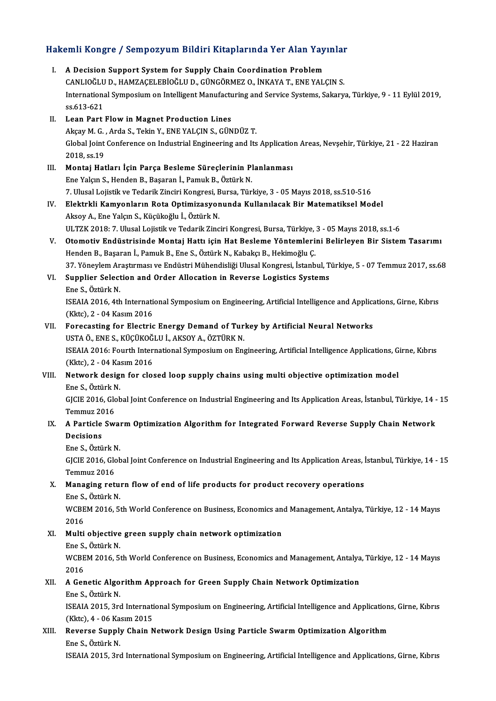# Hakemli Kongre / Sempozyum Bildiri Kitaplarında Yer Alan Yayınlar<br>Hakemli Kongre / Sempozyum Bildiri Kitaplarında Yer Alan Yayınlar

|       | Hakemli Kongre / Sempozyum Bildiri Kitaplarında Yer Alan Yayınlar                                                   |
|-------|---------------------------------------------------------------------------------------------------------------------|
| L.    | A Decision Support System for Supply Chain Coordination Problem                                                     |
|       | CANLIOĞLU D., HAMZAÇELEBİOĞLU D., GÜNGÖRMEZ O., İNKAYA T., ENE YALÇIN S.                                            |
|       | International Symposium on Intelligent Manufacturing and Service Systems, Sakarya, Türkiye, 9 - 11 Eylül 2019,      |
|       | ss 613-621                                                                                                          |
| Н.    | Lean Part Flow in Magnet Production Lines                                                                           |
|       | Akçay M. G., Arda S., Tekin Y., ENE YALÇIN S., GÜNDÜZ T.                                                            |
|       | Global Joint Conference on Industrial Engineering and Its Application Areas, Nevşehir, Türkiye, 21 - 22 Haziran     |
|       | 2018, ss 19                                                                                                         |
| Ш.    | Montaj Hatları İçin Parça Besleme Süreçlerinin Planlanması                                                          |
|       | Ene Yalçın S., Henden B., Başaran İ., Pamuk B., Öztürk N.                                                           |
|       | 7. Ulusal Lojistik ve Tedarik Zinciri Kongresi, Bursa, Türkiye, 3 - 05 Mayıs 2018, ss.510-516                       |
| IV.   | Elektrkli Kamyonların Rota Optimizasyonunda Kullanılacak Bir Matematiksel Model                                     |
|       | Aksoy A., Ene Yalçın S., Küçükoğlu İ., Öztürk N.                                                                    |
|       | ULTZK 2018: 7. Ulusal Lojistik ve Tedarik Zinciri Kongresi, Bursa, Türkiye, 3 - 05 Mayıs 2018, ss.1-6               |
| V.    | Otomotiv Endüstrisinde Montaj Hattı için Hat Besleme Yöntemlerini Belirleyen Bir Sistem Tasarımı                    |
|       | Henden B., Başaran İ., Pamuk B., Ene S., Öztürk N., Kabakçı B., Hekimoğlu Ç.                                        |
|       | 37. Yöneylem Araştırması ve Endüstri Mühendisliği Ulusal Kongresi, İstanbul, Türkiye, 5 - 07 Temmuz 2017, ss.68     |
| VI.   | Supplier Selection and Order Allocation in Reverse Logistics Systems                                                |
|       | Ene S., Öztürk N.                                                                                                   |
|       | ISEAIA 2016, 4th International Symposium on Engineering, Artificial Intelligence and Applications, Girne, Kıbrıs    |
|       | (Kktc), 2 - 04 Kasım 2016                                                                                           |
| VII.  | Forecasting for Electric Energy Demand of Turkey by Artificial Neural Networks                                      |
|       | USTA Ö., ENE S., KÜÇÜKOĞLU İ., AKSOY A., ÖZTÜRK N.                                                                  |
|       | ISEAIA 2016: Fourth International Symposium on Engineering, Artificial Intelligence Applications, Girne, Kıbrıs     |
|       | (Kktc), 2 - 04 Kasım 2016                                                                                           |
| VIII. | Network design for closed loop supply chains using multi objective optimization model                               |
|       | Ene S, Öztürk N                                                                                                     |
|       | GJCIE 2016, Global Joint Conference on Industrial Engineering and Its Application Areas, İstanbul, Türkiye, 14 - 15 |
|       | Temmuz 2016                                                                                                         |
| IX.   | A Particle Swarm Optimization Algorithm for Integrated Forward Reverse Supply Chain Network                         |
|       | Decisions                                                                                                           |
|       | Ene S., Öztürk N.                                                                                                   |
|       | GJCIE 2016, Global Joint Conference on Industrial Engineering and Its Application Areas, İstanbul, Türkiye, 14 - 15 |
|       | Temmuz 2016                                                                                                         |
| X.    | Managing return flow of end of life products for product recovery operations                                        |
|       | Ene S., Öztürk N.                                                                                                   |
|       | WCBEM 2016, 5th World Conference on Business, Economics and Management, Antalya, Türkiye, 12 - 14 Mayıs             |
|       | 2016                                                                                                                |
| XI.   | Multi objective green supply chain network optimization                                                             |
|       | Ene S., Öztürk N.                                                                                                   |
|       | WCBEM 2016, 5th World Conference on Business, Economics and Management, Antalya, Türkiye, 12 - 14 Mayıs             |
|       | 2016                                                                                                                |
| XII.  | A Genetic Algorithm Approach for Green Supply Chain Network Optimization                                            |
|       | Ene S., Öztürk N.                                                                                                   |
|       | ISEAIA 2015, 3rd International Symposium on Engineering, Artificial Intelligence and Applications, Girne, Kıbrıs    |
|       | (Kktc), 4 - 06 Kasım 2015                                                                                           |
| XIII. | Reverse Supply Chain Network Design Using Particle Swarm Optimization Algorithm<br>Ene S., Öztürk N.                |
|       | ISEAIA 2015, 3rd International Symposium on Engineering, Artificial Intelligence and Applications, Girne, Kıbrıs    |
|       |                                                                                                                     |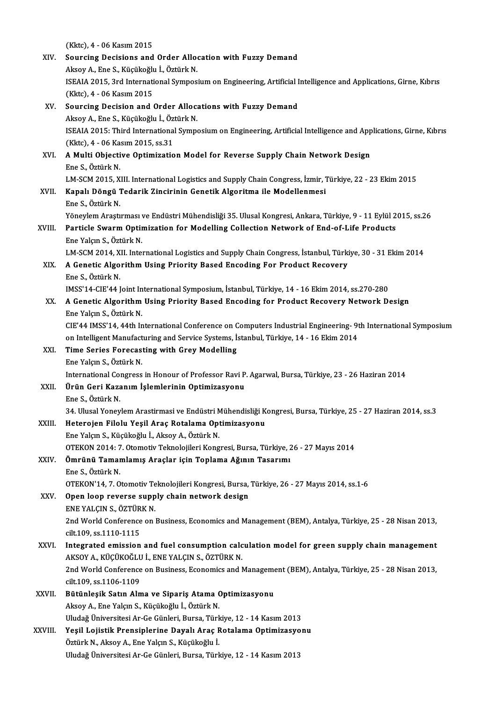|         | (Kktc), 4 - 06 Kasım 2015                                                                                                                                           |
|---------|---------------------------------------------------------------------------------------------------------------------------------------------------------------------|
| XIV.    | Sourcing Decisions and Order Allocation with Fuzzy Demand                                                                                                           |
|         | Aksoy A., Ene S., Küçükoğlu İ., Öztürk N.                                                                                                                           |
|         | ISEAIA 2015, 3rd International Symposium on Engineering, Artificial Intelligence and Applications, Girne, Kıbrıs                                                    |
|         | (Kktc), 4 - 06 Kasım 2015                                                                                                                                           |
| XV.     | Sourcing Decision and Order Allocations with Fuzzy Demand                                                                                                           |
|         | Aksoy A., Ene S., Küçükoğlu İ., Öztürk N.                                                                                                                           |
|         | ISEAIA 2015: Third International Symposium on Engineering, Artificial Intelligence and Applications, Girne, Kıbrıs                                                  |
|         | (Kktc), 4 - 06 Kasım 2015, ss 31                                                                                                                                    |
| XVI.    | A Multi Objective Optimization Model for Reverse Supply Chain Network Design                                                                                        |
|         | Ene S., Öztürk N.                                                                                                                                                   |
|         | LM-SCM 2015, XIII. International Logistics and Supply Chain Congress, İzmir, Türkiye, 22 - 23 Ekim 2015                                                             |
| XVII.   | Kapalı Döngü Tedarik Zincirinin Genetik Algoritma ile Modellenmesi                                                                                                  |
|         | Ene S., Öztürk N.                                                                                                                                                   |
|         | Yöneylem Araştırması ve Endüstri Mühendisliği 35. Ulusal Kongresi, Ankara, Türkiye, 9 - 11 Eylül 2015, ss.26                                                        |
| XVIII.  | Particle Swarm Optimization for Modelling Collection Network of End-of-Life Products<br>Ene Yalçın S., Öztürk N.                                                    |
|         | LM-SCM 2014, XII. International Logistics and Supply Chain Congress, İstanbul, Türkiye, 30 - 31 Ekim 2014                                                           |
| XIX.    | A Genetic Algorithm Using Priority Based Encoding For Product Recovery                                                                                              |
|         | Ene S., Öztürk N.                                                                                                                                                   |
|         | IMSS'14-CIE'44 Joint International Symposium, İstanbul, Türkiye, 14 - 16 Ekim 2014, ss.270-280                                                                      |
| XX.     | A Genetic Algorithm Using Priority Based Encoding for Product Recovery Network Design                                                                               |
|         | Ene Yalçın S., Öztürk N.                                                                                                                                            |
|         | CIE'44 IMSS'14, 44th International Conference on Computers Industrial Engineering-9th International Symposium                                                       |
|         | on Intelligent Manufacturing and Service Systems, İstanbul, Türkiye, 14 - 16 Ekim 2014                                                                              |
| XXI.    | Time Series Forecasting with Grey Modelling                                                                                                                         |
|         | Ene Yalçın S., Öztürk N.                                                                                                                                            |
|         | International Congress in Honour of Professor Ravi P. Agarwal, Bursa, Türkiye, 23 - 26 Haziran 2014                                                                 |
| XXII.   | Ürün Geri Kazanım İşlemlerinin Optimizasyonu                                                                                                                        |
|         | Ene S., Öztürk N.                                                                                                                                                   |
| XXIII.  | 34. Ulusal Yoneylem Arastirmasi ve Endüstri Mühendisliği Kongresi, Bursa, Türkiye, 25 - 27 Haziran 2014, ss.3<br>Heterojen Filolu Yeşil Araç Rotalama Optimizasyonu |
|         | Ene Yalçın S., Küçükoğlu İ., Aksoy A., Öztürk N.                                                                                                                    |
|         | OTEKON 2014: 7. Otomotiv Teknolojileri Kongresi, Bursa, Türkiye, 26 - 27 Mayıs 2014                                                                                 |
| XXIV.   | Ömrünü Tamamlamış Araçlar için Toplama Ağının Tasarımı                                                                                                              |
|         | Ene S., Öztürk N.                                                                                                                                                   |
|         | OTEKON'14, 7. Otomotiv Teknolojileri Kongresi, Bursa, Türkiye, 26 - 27 Mayıs 2014, ss.1-6                                                                           |
| XXV.    | Open loop reverse supply chain network design                                                                                                                       |
|         | ENE YALÇIN S., ÖZTÜRK N.                                                                                                                                            |
|         | 2nd World Conference on Business, Economics and Management (BEM), Antalya, Türkiye, 25 - 28 Nisan 2013,                                                             |
|         | cilt 109, ss 1110-1115                                                                                                                                              |
| XXVI.   | Integrated emission and fuel consumption calculation model for green supply chain management                                                                        |
|         | AKSOY A., KÜÇÜKOĞLU İ., ENE YALÇIN S., ÖZTÜRK N.                                                                                                                    |
|         | 2nd World Conference on Business, Economics and Management (BEM), Antalya, Türkiye, 25 - 28 Nisan 2013,                                                             |
|         | cilt 109, ss 1106-1109                                                                                                                                              |
| XXVII.  | Bütünleşik Satın Alma ve Sipariş Atama Optimizasyonu                                                                                                                |
|         | Aksoy A., Ene Yalçın S., Küçükoğlu İ., Öztürk N.<br>Uludağ Üniversitesi Ar-Ge Günleri, Bursa, Türkiye, 12 - 14 Kasım 2013                                           |
| XXVIII. | Yeşil Lojistik Prensiplerine Dayalı Araç Rotalama Optimizasyonu                                                                                                     |
|         | Öztürk N., Aksoy A., Ene Yalçın S., Küçükoğlu İ.                                                                                                                    |
|         | Uludağ Üniversitesi Ar-Ge Günleri, Bursa, Türkiye, 12 - 14 Kasım 2013                                                                                               |
|         |                                                                                                                                                                     |